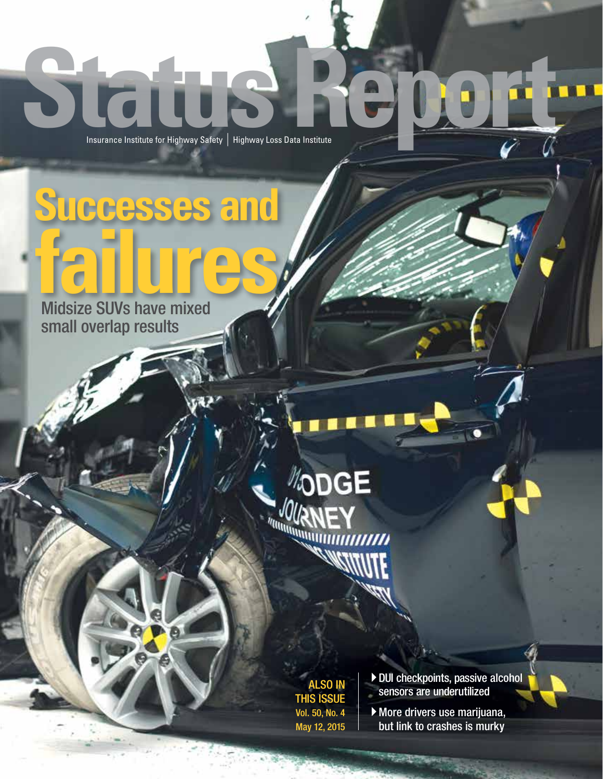# Insurance Institute for Highway Safety | Highway Loss Data Institute

**Successes and**

**failure**<br>
Midsize SUVs have mixed small overlap results

# **AODGE**  $\text{Maxmax}_{\text{Maxmax}_{\text{MIN}}}\sum_{i=1}^{N} \sum_{i=1}^{N} \sum_{i=1}^{N} \sum_{j=1}^{N} \sum_{j=1}^{N} \sum_{j=1}^{N} \sum_{j=1}^{N} \sum_{j=1}^{N} \sum_{j=1}^{N} \sum_{j=1}^{N} \sum_{j=1}^{N} \sum_{j=1}^{N} \sum_{j=1}^{N} \sum_{j=1}^{N} \sum_{j=1}^{N} \sum_{j=1}^{N} \sum_{j=1}^{N} \sum_{j=1}^{N} \sum_{j=1}^{N} \sum_{j=1}^{N} \sum_{$

ALSO IN THIS ISSUE Vol. 50, No. 4 May 12, 2015 4DUI checkpoints, passive alcohol sensors are underutilized

4More drivers use marijuana, but link to crashes is murky

**CELL OF BRITIS**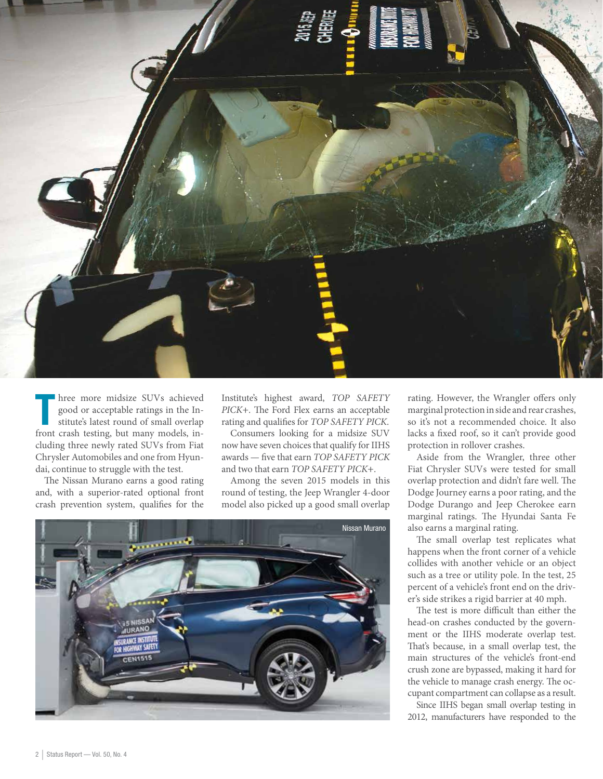

hree more midsize SUVs achieved<br>good or acceptable ratings in the In-<br>stitute's latest round of small overlap<br>front crash testing, but many models, inhree more midsize SUVs achieved good or acceptable ratings in the Institute's latest round of small overlap cluding three newly rated SUVs from Fiat Chrysler Automobiles and one from Hyundai, continue to struggle with the test.

The Nissan Murano earns a good rating and, with a superior-rated optional front crash prevention system, qualifies for the

Institute's highest award, *TOP SAFETY PICK*+. The Ford Flex earns an acceptable rating and qualifies for *TOP SAFETY PICK*.

Consumers looking for a midsize SUV now have seven choices that qualify for IIHS awards — five that earn *TOP SAFETY PICK* and two that earn *TOP SAFETY PICK*+.

Among the seven 2015 models in this round of testing, the Jeep Wrangler 4-door model also picked up a good small overlap



rating. However, the Wrangler offers only marginal protection in side and rear crashes, so it's not a recommended choice. It also lacks a fixed roof, so it can't provide good protection in rollover crashes.

Aside from the Wrangler, three other Fiat Chrysler SUVs were tested for small overlap protection and didn't fare well. The Dodge Journey earns a poor rating, and the Dodge Durango and Jeep Cherokee earn marginal ratings. The Hyundai Santa Fe also earns a marginal rating.

The small overlap test replicates what happens when the front corner of a vehicle collides with another vehicle or an object such as a tree or utility pole. In the test, 25 percent of a vehicle's front end on the driver's side strikes a rigid barrier at 40 mph.

The test is more difficult than either the head-on crashes conducted by the government or the IIHS moderate overlap test. That's because, in a small overlap test, the main structures of the vehicle's front-end crush zone are bypassed, making it hard for the vehicle to manage crash energy. The occupant compartment can collapse as a result.

Since IIHS began small overlap testing in 2012, manufacturers have responded to the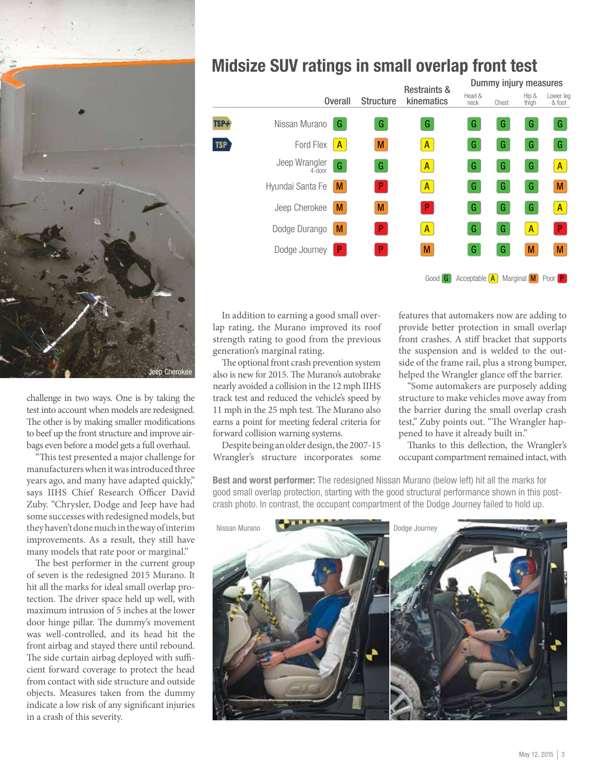

challenge in two ways. One is by taking the test into account when models are redesigned. The other is by making smaller modifications to beef up the front structure and improve airbags even before a model gets a full overhaul.

"This test presented a major challenge for manufacturers when it was introduced three years ago, and many have adapted quickly," says IIHS Chief Research Officer David Zuby. "Chrysler, Dodge and Jeep have had some successes with redesigned models, but they haven't done much in the way of interim improvements. As a result, they still have many models that rate poor or marginal."

The best performer in the current group of seven is the redesigned 2015 Murano. It hit all the marks for ideal small overlap protection. The driver space held up well, with maximum intrusion of 5 inches at the lower door hinge pillar. The dummy's movement was well-controlled, and its head hit the front airbag and stayed there until rebound. The side curtain airbag deployed with sufficient forward coverage to protect the head from contact with side structure and outside objects. Measures taken from the dummy indicate a low risk of any significant injuries in a crash of this severity.

#### Midsize SUV ratings in small overlap front test

|            |                         |                | <b>Structure</b> | <b>Restraints &amp;</b><br>kinematics | Dummy injury measures   |       |                |                     |
|------------|-------------------------|----------------|------------------|---------------------------------------|-------------------------|-------|----------------|---------------------|
|            |                         | <b>Overall</b> |                  |                                       | Head &<br>neck          | Chest | Hip &<br>thigh | Lower leg<br>& foot |
| TSP+       | Nissan Murano           | G              | G                | G                                     | G                       | G     | G              | G                   |
| <b>TSP</b> | Ford Flex               | $\mathsf{A}$   | M                | $\mathsf{A}$                          | G                       | G     | G              | G                   |
|            | Jeep Wrangler<br>4-door | G              | G                | $\mathsf{A}$                          | G                       | G     | G              | $\mathsf{A}$        |
|            | Hyundai Santa Fe        | M              | P.               | $\mathsf{A}$                          | G                       | G     | G              | M                   |
|            | Jeep Cherokee           | M              | M                | $\mathsf{P}$                          | G                       | G     | G              | $\mathsf{A}$        |
|            | Dodge Durango           | M              | P                | $\mathsf{A}$                          | G                       | G     | $\overline{A}$ | $\mathsf{P}$        |
|            | Dodge Journey           | P              | P                | M                                     | G                       | G     | M              | M                   |
|            |                         |                |                  | Good G                                | Acceptable $\mathbf{A}$ |       | Marginal M     | Poor <sub>P</sub>   |

In addition to earning a good small overlap rating, the Murano improved its roof strength rating to good from the previous generation's marginal rating.

The optional front crash prevention system also is new for 2015. The Murano's autobrake nearly avoided a collision in the 12 mph IIHS track test and reduced the vehicle's speed by 11 mph in the 25 mph test. The Murano also earns a point for meeting federal criteria for forward collision warning systems.

Despite being an older design, the 2007-15 Wrangler's structure incorporates some features that automakers now are adding to provide better protection in small overlap front crashes. A stiff bracket that supports the suspension and is welded to the outside of the frame rail, plus a strong bumper, helped the Wrangler glance off the barrier.

"Some automakers are purposely adding structure to make vehicles move away from the barrier during the small overlap crash test," Zuby points out. "The Wrangler happened to have it already built in."

Thanks to this deflection, the Wrangler's occupant compartment remained intact, with

Best and worst performer: The redesigned Nissan Murano (below left) hit all the marks for good small overlap protection, starting with the good structural performance shown in this postcrash photo. In contrast, the occupant compartment of the Dodge Journey failed to hold up.

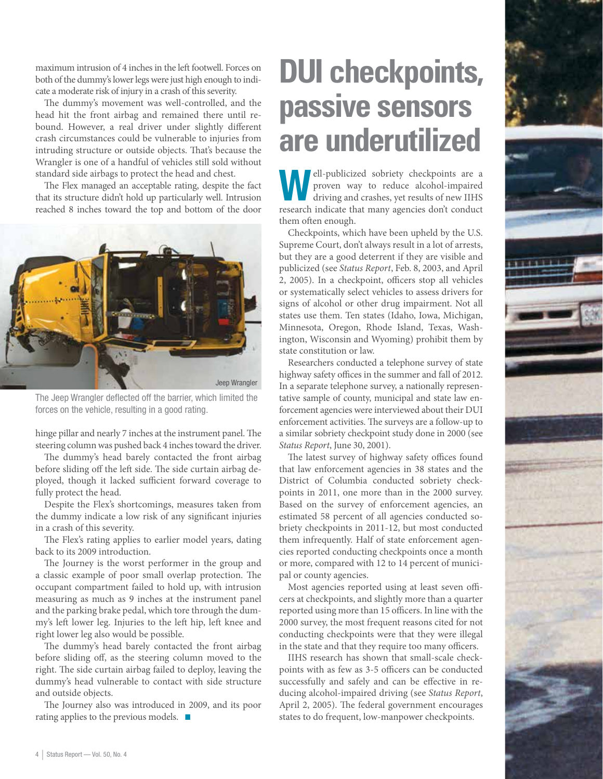maximum intrusion of 4 inches in the left footwell. Forces on both of the dummy's lower legs were just high enough to indicate a moderate risk of injury in a crash of this severity.

The dummy's movement was well-controlled, and the head hit the front airbag and remained there until rebound. However, a real driver under slightly different crash circumstances could be vulnerable to injuries from intruding structure or outside objects. That's because the Wrangler is one of a handful of vehicles still sold without standard side airbags to protect the head and chest.

The Flex managed an acceptable rating, despite the fact that its structure didn't hold up particularly well. Intrusion reached 8 inches toward the top and bottom of the door



The Jeep Wrangler deflected off the barrier, which limited the forces on the vehicle, resulting in a good rating.

hinge pillar and nearly 7 inches at the instrument panel. The steering column was pushed back 4 inches toward the driver.

The dummy's head barely contacted the front airbag before sliding off the left side. The side curtain airbag deployed, though it lacked sufficient forward coverage to fully protect the head.

Despite the Flex's shortcomings, measures taken from the dummy indicate a low risk of any significant injuries in a crash of this severity.

The Flex's rating applies to earlier model years, dating back to its 2009 introduction.

The Journey is the worst performer in the group and a classic example of poor small overlap protection. The occupant compartment failed to hold up, with intrusion measuring as much as 9 inches at the instrument panel and the parking brake pedal, which tore through the dummy's left lower leg. Injuries to the left hip, left knee and right lower leg also would be possible.

The dummy's head barely contacted the front airbag before sliding off, as the steering column moved to the right. The side curtain airbag failed to deploy, leaving the dummy's head vulnerable to contact with side structure and outside objects.

The Journey also was introduced in 2009, and its poor rating applies to the previous models.  $\blacksquare$ 

### **DUI checkpoints, passive sensors are underutilized**

ell-publicized sobriety checkpoints are a proven way to reduce alcohol-impaired driving and crashes, yet results of new IIHS research indicate that many agencies don't conduct them often enough.

Checkpoints, which have been upheld by the U.S. Supreme Court, don't always result in a lot of arrests, but they are a good deterrent if they are visible and publicized (see *Status Report*, Feb. 8, 2003, and April 2, 2005). In a checkpoint, officers stop all vehicles or systematically select vehicles to assess drivers for signs of alcohol or other drug impairment. Not all states use them. Ten states (Idaho, Iowa, Michigan, Minnesota, Oregon, Rhode Island, Texas, Washington, Wisconsin and Wyoming) prohibit them by state constitution or law.

Researchers conducted a telephone survey of state highway safety offices in the summer and fall of 2012. In a separate telephone survey, a nationally representative sample of county, municipal and state law enforcement agencies were interviewed about their DUI enforcement activities. The surveys are a follow-up to a similar sobriety checkpoint study done in 2000 (see *Status Report*, June 30, 2001).

The latest survey of highway safety offices found that law enforcement agencies in 38 states and the District of Columbia conducted sobriety checkpoints in 2011, one more than in the 2000 survey. Based on the survey of enforcement agencies, an estimated 58 percent of all agencies conducted sobriety checkpoints in 2011-12, but most conducted them infrequently. Half of state enforcement agencies reported conducting checkpoints once a month or more, compared with 12 to 14 percent of municipal or county agencies.

Most agencies reported using at least seven officers at checkpoints, and slightly more than a quarter reported using more than 15 officers. In line with the 2000 survey, the most frequent reasons cited for not conducting checkpoints were that they were illegal in the state and that they require too many officers.

IIHS research has shown that small-scale checkpoints with as few as 3-5 officers can be conducted successfully and safely and can be effective in reducing alcohol-impaired driving (see *Status Report*, April 2, 2005). The federal government encourages states to do frequent, low-manpower checkpoints.

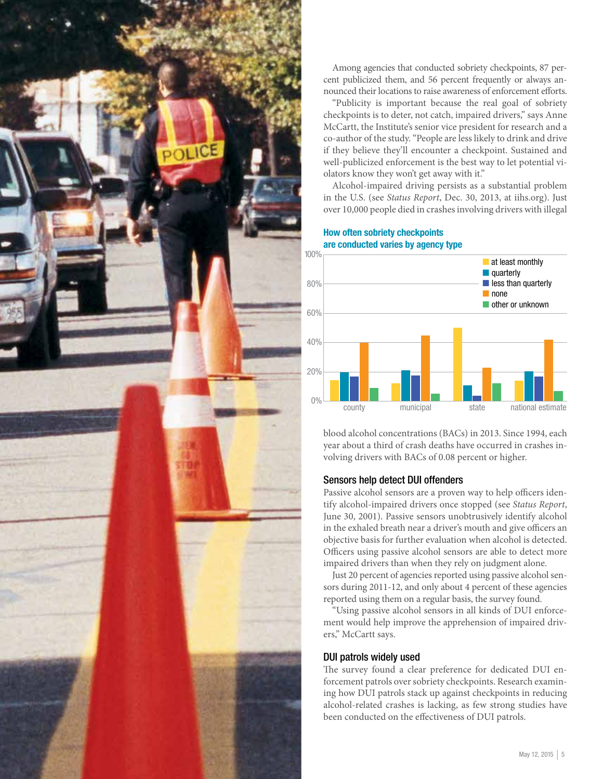

Among agencies that conducted sobriety checkpoints, 87 percent publicized them, and 56 percent frequently or always announced their locations to raise awareness of enforcement efforts.

"Publicity is important because the real goal of sobriety checkpoints is to deter, not catch, impaired drivers," says Anne McCartt, the Institute's senior vice president for research and a co-author of the study. "People are less likely to drink and drive if they believe they'll encounter a checkpoint. Sustained and well-publicized enforcement is the best way to let potential violators know they won't get away with it."

Alcohol-impaired driving persists as a substantial problem in the U.S. (see *Status Report*, Dec. 30, 2013, at iihs.org). Just over 10,000 people died in crashes involving drivers with illegal

How often sobriety checkpoints are conducted varies by agency type



blood alcohol concentrations (BACs) in 2013. Since 1994, each year about a third of crash deaths have occurred in crashes involving drivers with BACs of 0.08 percent or higher.

#### Sensors help detect DUI offenders

Passive alcohol sensors are a proven way to help officers identify alcohol-impaired drivers once stopped (see *Status Report*, June 30, 2001). Passive sensors unobtrusively identify alcohol in the exhaled breath near a driver's mouth and give officers an objective basis for further evaluation when alcohol is detected. Officers using passive alcohol sensors are able to detect more impaired drivers than when they rely on judgment alone.

Just 20 percent of agencies reported using passive alcohol sensors during 2011-12, and only about 4 percent of these agencies reported using them on a regular basis, the survey found.

"Using passive alcohol sensors in all kinds of DUI enforcement would help improve the apprehension of impaired drivers," McCartt says.

#### DUI patrols widely used

The survey found a clear preference for dedicated DUI enforcement patrols over sobriety checkpoints. Research examining how DUI patrols stack up against checkpoints in reducing alcohol-related crashes is lacking, as few strong studies have been conducted on the effectiveness of DUI patrols.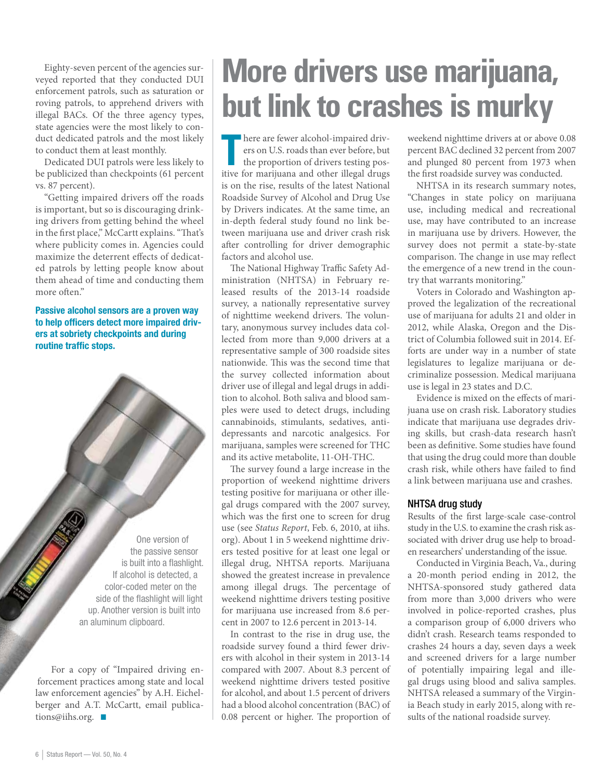Eighty-seven percent of the agencies surveyed reported that they conducted DUI enforcement patrols, such as saturation or roving patrols, to apprehend drivers with illegal BACs. Of the three agency types, state agencies were the most likely to conduct dedicated patrols and the most likely to conduct them at least monthly.

Dedicated DUI patrols were less likely to be publicized than checkpoints (61 percent vs. 87 percent).

"Getting impaired drivers off the roads is important, but so is discouraging drinking drivers from getting behind the wheel in the first place," McCartt explains. "That's where publicity comes in. Agencies could maximize the deterrent effects of dedicated patrols by letting people know about them ahead of time and conducting them more often."

Passive alcohol sensors are a proven way to help officers detect more impaired drivers at sobriety checkpoints and during routine traffic stops.

> One version of the passive sensor is built into a flashlight. If alcohol is detected, a color-coded meter on the side of the flashlight will light up. Another version is built into an aluminum clipboard.

For a copy of "Impaired driving enforcement practices among state and local law enforcement agencies" by A.H. Eichelberger and A.T. McCartt, email publications@iihs.org.  $\blacksquare$ 

# **More drivers use marijuana, but link to crashes is murky**

here are fewer alcohol-impaired drivers on U.S. roads than ever before, but<br>the proportion of drivers testing positive for marijuana and other illegal drugs here are fewer alcohol-impaired drivers on U.S. roads than ever before, but the proportion of drivers testing posis on the rise, results of the latest National Roadside Survey of Alcohol and Drug Use by Drivers indicates. At the same time, an in-depth federal study found no link between marijuana use and driver crash risk after controlling for driver demographic factors and alcohol use.

The National Highway Traffic Safety Administration (NHTSA) in February released results of the 2013-14 roadside survey, a nationally representative survey of nighttime weekend drivers. The voluntary, anonymous survey includes data collected from more than 9,000 drivers at a representative sample of 300 roadside sites nationwide. This was the second time that the survey collected information about driver use of illegal and legal drugs in addition to alcohol. Both saliva and blood samples were used to detect drugs, including cannabinoids, stimulants, sedatives, antidepressants and narcotic analgesics. For marijuana, samples were screened for THC and its active metabolite, 11-OH-THC.

The survey found a large increase in the proportion of weekend nighttime drivers testing positive for marijuana or other illegal drugs compared with the 2007 survey, which was the first one to screen for drug use (see *Status Report*, Feb. 6, 2010, at iihs. org). About 1 in 5 weekend nighttime drivers tested positive for at least one legal or illegal drug, NHTSA reports. Marijuana showed the greatest increase in prevalence among illegal drugs. The percentage of weekend nighttime drivers testing positive for marijuana use increased from 8.6 percent in 2007 to 12.6 percent in 2013-14.

In contrast to the rise in drug use, the roadside survey found a third fewer drivers with alcohol in their system in 2013-14 compared with 2007. About 8.3 percent of weekend nighttime drivers tested positive for alcohol, and about 1.5 percent of drivers had a blood alcohol concentration (BAC) of 0.08 percent or higher. The proportion of weekend nighttime drivers at or above 0.08 percent BAC declined 32 percent from 2007 and plunged 80 percent from 1973 when the first roadside survey was conducted.

NHTSA in its research summary notes, "Changes in state policy on marijuana use, including medical and recreational use, may have contributed to an increase in marijuana use by drivers. However, the survey does not permit a state-by-state comparison. The change in use may reflect the emergence of a new trend in the country that warrants monitoring."

Voters in Colorado and Washington approved the legalization of the recreational use of marijuana for adults 21 and older in 2012, while Alaska, Oregon and the District of Columbia followed suit in 2014. Efforts are under way in a number of state legislatures to legalize marijuana or decriminalize possession. Medical marijuana use is legal in 23 states and D.C.

Evidence is mixed on the effects of marijuana use on crash risk. Laboratory studies indicate that marijuana use degrades driving skills, but crash-data research hasn't been as definitive. Some studies have found that using the drug could more than double crash risk, while others have failed to find a link between marijuana use and crashes.

#### NHTSA drug study

Results of the first large-scale case-control study in the U.S. to examine the crash risk associated with driver drug use help to broaden researchers' understanding of the issue.

Conducted in Virginia Beach, Va., during a 20-month period ending in 2012, the NHTSA-sponsored study gathered data from more than 3,000 drivers who were involved in police-reported crashes, plus a comparison group of 6,000 drivers who didn't crash. Research teams responded to crashes 24 hours a day, seven days a week and screened drivers for a large number of potentially impairing legal and illegal drugs using blood and saliva samples. NHTSA released a summary of the Virginia Beach study in early 2015, along with results of the national roadside survey.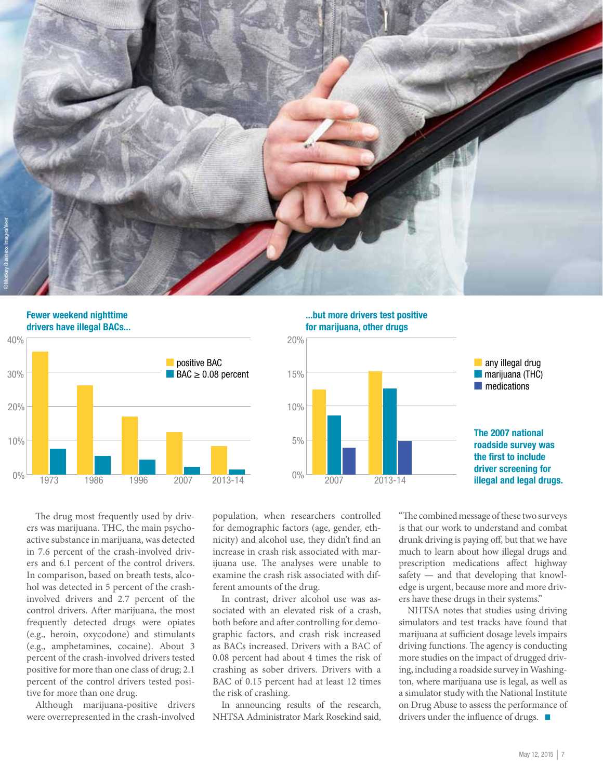



...but more drivers test positive for marijuana, other drugs



The drug most frequently used by drivers was marijuana. THC, the main psychoactive substance in marijuana, was detected in 7.6 percent of the crash-involved drivers and 6.1 percent of the control drivers. In comparison, based on breath tests, alcohol was detected in 5 percent of the crashinvolved drivers and 2.7 percent of the control drivers. After marijuana, the most frequently detected drugs were opiates (e.g., heroin, oxycodone) and stimulants (e.g., amphetamines, cocaine). About 3 percent of the crash-involved drivers tested positive for more than one class of drug; 2.1 percent of the control drivers tested positive for more than one drug.

Although marijuana-positive drivers were overrepresented in the crash-involved

population, when researchers controlled for demographic factors (age, gender, ethnicity) and alcohol use, they didn't find an increase in crash risk associated with marijuana use. The analyses were unable to examine the crash risk associated with different amounts of the drug.

In contrast, driver alcohol use was associated with an elevated risk of a crash, both before and after controlling for demographic factors, and crash risk increased as BACs increased. Drivers with a BAC of 0.08 percent had about 4 times the risk of crashing as sober drivers. Drivers with a BAC of 0.15 percent had at least 12 times the risk of crashing.

In announcing results of the research, NHTSA Administrator Mark Rosekind said,

"The combined message of these two surveys is that our work to understand and combat drunk driving is paying off, but that we have much to learn about how illegal drugs and prescription medications affect highway safety — and that developing that knowledge is urgent, because more and more drivers have these drugs in their systems."

NHTSA notes that studies using driving simulators and test tracks have found that marijuana at sufficient dosage levels impairs driving functions. The agency is conducting more studies on the impact of drugged driving, including a roadside survey in Washington, where marijuana use is legal, as well as a simulator study with the National Institute on Drug Abuse to assess the performance of drivers under the influence of drugs.  $\blacksquare$